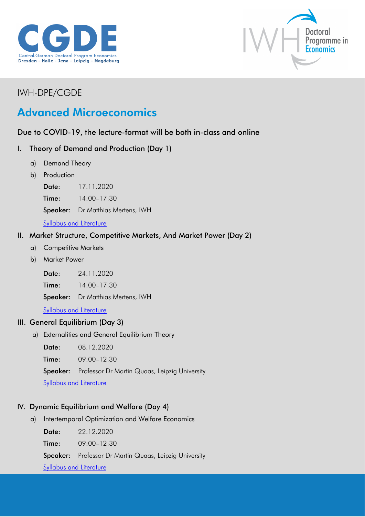



## IWH-DPE/CGDE

# Advanced Microeconomics

### Due to COVID-19, the lecture-format will be both in-class and online

#### I. Theory of Demand and Production (Day 1)

- a) Demand Theory
- b) Production

Date: 17.11.2020

Time: 14:00–17:30

Speaker: Dr Matthias Mertens, IWH

**[Syllabus and Literature](http://cgde.wifa.uni-leipzig.de/wp-content/uploads/2020/09/Syllabus-Mertens_Advanced-Micro.pdf)** 

#### II. Market Structure, Competitive Markets, And Market Power (Day 2)

- a) Competitive Markets
- b) Market Power

Date: 24.11.2020

Time: 14:00–17:30

Speaker: Dr Matthias Mertens, IWH

**[Syllabus and Literature](http://cgde.wifa.uni-leipzig.de/wp-content/uploads/2020/09/Syllabus-Mertens_Advanced-Micro.pdf)** 

#### III. General Equilibrium (Day 3)

a) Externalities and General Equilibrium Theory

Date: 08.12.2020

Time: 09:00–12:30

Speaker: Professor Dr Martin Quaas, Leipzig University

[Syllabus and Literature](http://cgde.wifa.uni-leipzig.de/wp-content/uploads/2020/09/Syllabus_Quaas_Advanced-Micro_i.pdf)

#### IV. Dynamic Equilibrium and Welfare (Day 4)

a) Intertemporal Optimization and Welfare Economics

Date: 22.12.2020 Time: 09:00–12:30 Speaker: Professor Dr Martin Quaas, Leipzig University [Syllabus and Literature](http://cgde.wifa.uni-leipzig.de/wp-content/uploads/2020/09/Syllabus_Quaas_Advanced-Micro_ii.pdf)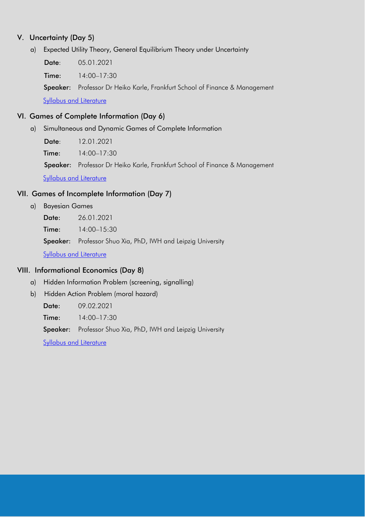#### V. Uncertainty (Day 5)

a) Expected Utility Theory, General Equilibrium Theory under Uncertainty

Date: 05.01.2021

Time: 14:00–17:30

Speaker: Professor Dr Heiko Karle, Frankfurt School of Finance & Management

[Syllabus and Literature](http://cgde.wifa.uni-leipzig.de/wp-content/uploads/2020/10/Syllabus_Karle_Advanced-Micro.pdf)

#### VI. Games of Complete Information (Day 6)

a) Simultaneous and Dynamic Games of Complete Information

Date: 12.01.2021

Time: 14:00–17:30

Speaker: Professor Dr Heiko Karle, Frankfurt School of Finance & Management

[Syllabus and Literature](http://cgde.wifa.uni-leipzig.de/wp-content/uploads/2020/10/Syllabus_Karle_Advanced-Micro.pdf)

#### VII. Games of Incomplete Information (Day 7)

- a) Bayesian Games
	- Date: 26.01.2021

Time: 14:00–15:30

Speaker: Professor Shuo Xia, PhD, IWH and Leipzig University

[Syllabus and Literature](http://cgde.wifa.uni-leipzig.de/wp-content/uploads/2020/09/Syllabus_Xia_Advanced-Micro.pdf)

#### VIII. Informational Economics (Day 8)

- a) Hidden Information Problem (screening, signalling)
- b) Hidden Action Problem (moral hazard)

Date: 09.02.2021

Time: 14:00-17:30

Speaker: Professor Shuo Xia, PhD, IWH and Leipzig University

[Syllabus and Literature](http://cgde.wifa.uni-leipzig.de/wp-content/uploads/2020/09/Syllabus_Xia_Advanced-Micro.pdf)